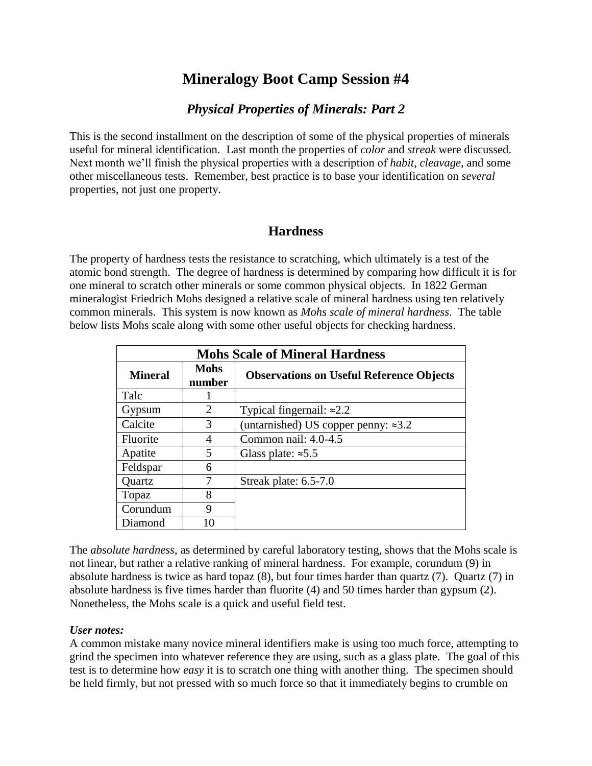# **Mineralogy Boot Camp Session #4**

### *Physical Properties of Minerals: Part 2*

This is the second installment on the description of some of the physical properties of minerals useful for mineral identification. Last month the properties of *color* and *streak* were discussed. Next month we'll finish the physical properties with a description of *habit*, *cleavage*, and some other miscellaneous tests. Remember, best practice is to base your identification on *several* properties, not just one property.

## **Hardness**

The property of hardness tests the resistance to scratching, which ultimately is a test of the atomic bond strength. The degree of hardness is determined by comparing how difficult it is for one mineral to scratch other minerals or some common physical objects. In 1822 German mineralogist Friedrich Mohs designed a relative scale of mineral hardness using ten relatively common minerals. This system is now known as *Mohs scale of mineral hardness*. The table below lists Mohs scale along with some other useful objects for checking hardness.

| <b>Mohs Scale of Mineral Hardness</b> |                       |                                                 |  |  |  |  |  |
|---------------------------------------|-----------------------|-------------------------------------------------|--|--|--|--|--|
| <b>Mineral</b>                        | <b>Mohs</b><br>number | <b>Observations on Useful Reference Objects</b> |  |  |  |  |  |
| Talc                                  |                       |                                                 |  |  |  |  |  |
| Gypsum                                | 2                     | Typical fingernail: $\approx 2.2$               |  |  |  |  |  |
| Calcite                               | 3                     | (untarnished) US copper penny: $\approx 3.2$    |  |  |  |  |  |
| Fluorite                              | 4                     | Common nail: 4.0-4.5                            |  |  |  |  |  |
| Apatite                               | 5                     | Glass plate: $\approx 5.5$                      |  |  |  |  |  |
| Feldspar                              | 6                     |                                                 |  |  |  |  |  |
| Quartz                                | 7                     | Streak plate: 6.5-7.0                           |  |  |  |  |  |
| Topaz                                 |                       |                                                 |  |  |  |  |  |
| Corundum                              | 9                     |                                                 |  |  |  |  |  |
| Diamond                               | 10                    |                                                 |  |  |  |  |  |

The *absolute hardness*, as determined by careful laboratory testing, shows that the Mohs scale is not linear, but rather a relative ranking of mineral hardness. For example, corundum (9) in absolute hardness is twice as hard topaz (8), but four times harder than quartz (7). Quartz (7) in absolute hardness is five times harder than fluorite (4) and 50 times harder than gypsum (2). Nonetheless, the Mohs scale is a quick and useful field test.

### *User notes:*

A common mistake many novice mineral identifiers make is using too much force, attempting to grind the specimen into whatever reference they are using, such as a glass plate. The goal of this test is to determine how *easy* it is to scratch one thing with another thing. The specimen should be held firmly, but not pressed with so much force so that it immediately begins to crumble on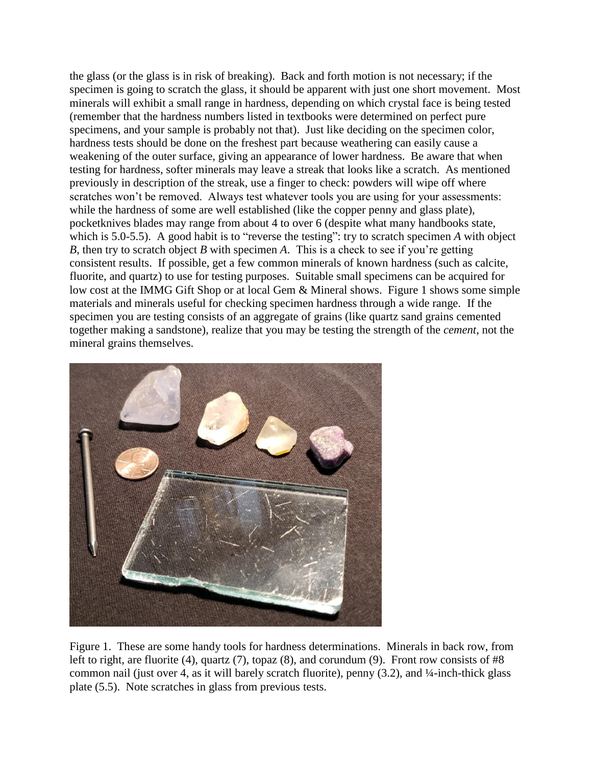the glass (or the glass is in risk of breaking). Back and forth motion is not necessary; if the specimen is going to scratch the glass, it should be apparent with just one short movement. Most minerals will exhibit a small range in hardness, depending on which crystal face is being tested (remember that the hardness numbers listed in textbooks were determined on perfect pure specimens, and your sample is probably not that). Just like deciding on the specimen color, hardness tests should be done on the freshest part because weathering can easily cause a weakening of the outer surface, giving an appearance of lower hardness. Be aware that when testing for hardness, softer minerals may leave a streak that looks like a scratch. As mentioned previously in description of the streak, use a finger to check: powders will wipe off where scratches won't be removed. Always test whatever tools you are using for your assessments: while the hardness of some are well established (like the copper penny and glass plate), pocketknives blades may range from about 4 to over 6 (despite what many handbooks state, which is 5.0-5.5). A good habit is to "reverse the testing": try to scratch specimen A with object *B*, then try to scratch object *B* with specimen *A*. This is a check to see if you're getting consistent results. If possible, get a few common minerals of known hardness (such as calcite, fluorite, and quartz) to use for testing purposes. Suitable small specimens can be acquired for low cost at the IMMG Gift Shop or at local Gem & Mineral shows. Figure 1 shows some simple materials and minerals useful for checking specimen hardness through a wide range. If the specimen you are testing consists of an aggregate of grains (like quartz sand grains cemented together making a sandstone), realize that you may be testing the strength of the *cement*, not the mineral grains themselves.



Figure 1. These are some handy tools for hardness determinations. Minerals in back row, from left to right, are fluorite (4), quartz (7), topaz (8), and corundum (9). Front row consists of #8 common nail (just over 4, as it will barely scratch fluorite), penny (3.2), and ¼-inch-thick glass plate (5.5). Note scratches in glass from previous tests.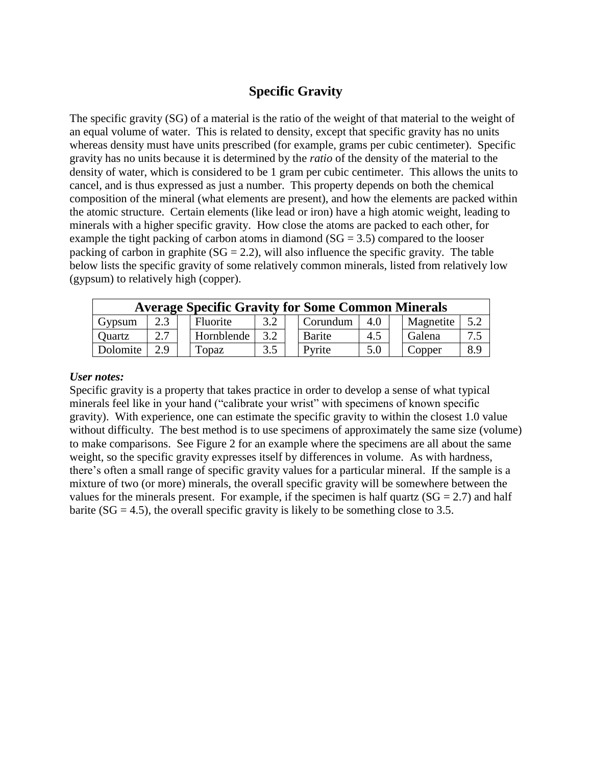## **Specific Gravity**

The specific gravity (SG) of a material is the ratio of the weight of that material to the weight of an equal volume of water. This is related to density, except that specific gravity has no units whereas density must have units prescribed (for example, grams per cubic centimeter). Specific gravity has no units because it is determined by the *ratio* of the density of the material to the density of water, which is considered to be 1 gram per cubic centimeter. This allows the units to cancel, and is thus expressed as just a number. This property depends on both the chemical composition of the mineral (what elements are present), and how the elements are packed within the atomic structure. Certain elements (like lead or iron) have a high atomic weight, leading to minerals with a higher specific gravity. How close the atoms are packed to each other, for example the tight packing of carbon atoms in diamond  $(SG = 3.5)$  compared to the looser packing of carbon in graphite ( $SG = 2.2$ ), will also influence the specific gravity. The table below lists the specific gravity of some relatively common minerals, listed from relatively low (gypsum) to relatively high (copper).

| <b>Average Specific Gravity for Some Common Minerals</b> |     |                 |          |  |          |     |  |           |     |  |  |  |
|----------------------------------------------------------|-----|-----------------|----------|--|----------|-----|--|-----------|-----|--|--|--|
| Gypsum                                                   |     | <b>Fluorite</b> | $\Omega$ |  | Corundum | 4.0 |  | Magnetite | 5.2 |  |  |  |
| <b>Ouartz</b>                                            | 2.7 | Hornblende      | 3.2      |  | Barite   | 4.5 |  | Galena    |     |  |  |  |
| Dolomite                                                 | 2.9 | lopaz           | 3.5      |  | Pyrite   | 5.0 |  | Copper    | 8.9 |  |  |  |

#### *User notes:*

Specific gravity is a property that takes practice in order to develop a sense of what typical minerals feel like in your hand ("calibrate your wrist" with specimens of known specific gravity). With experience, one can estimate the specific gravity to within the closest 1.0 value without difficulty. The best method is to use specimens of approximately the same size (volume) to make comparisons. See Figure 2 for an example where the specimens are all about the same weight, so the specific gravity expresses itself by differences in volume. As with hardness, there's often a small range of specific gravity values for a particular mineral. If the sample is a mixture of two (or more) minerals, the overall specific gravity will be somewhere between the values for the minerals present. For example, if the specimen is half quartz  $(SG = 2.7)$  and half barite ( $SG = 4.5$ ), the overall specific gravity is likely to be something close to 3.5.